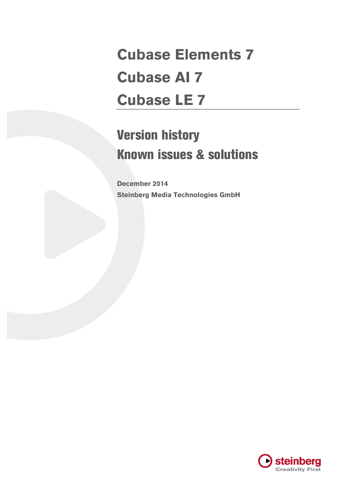# **Cubase Elements 7 Cubase AI 7 Cubase LE 7**

# Version history Known issues & solutions

**December 2014 Steinberg Media Technologies GmbH**

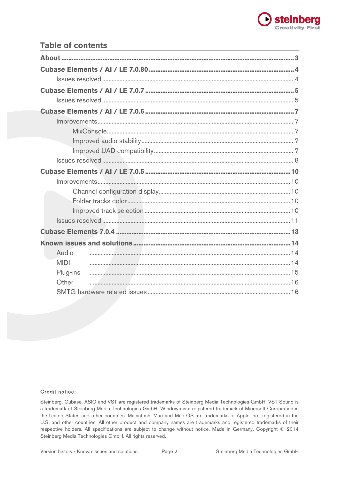

# **Table of contents**

| Audio       |  |  |  |
|-------------|--|--|--|
| <b>MIDI</b> |  |  |  |
| Plug-ins    |  |  |  |
| Other       |  |  |  |
|             |  |  |  |
|             |  |  |  |
|             |  |  |  |
|             |  |  |  |

#### Credit notice:

Steinberg, Cubase, ASIO and VST are registered trademarks of Steinberg Media Technologies GmbH. VST Sound is a trademark of Steinberg Media Technologies GmbH. Windows is a registered trademark of Microsoft Corporation in the United States and other countries. Macintosh, Mac and Mac OS are trademarks of Apple Inc., registered in the U.S. and other countries. All other product and company names are trademarks and registered trademarks of their respective holders. All specifications are subject to change without notice. Made in Germany. Copyright © 2014 Steinberg Media Technologies GmbH. All rights reserved.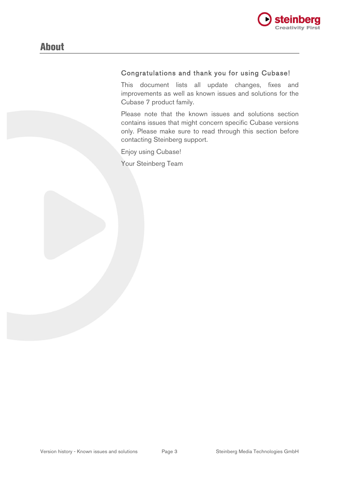

## Congratulations and thank you for using Cubase!

This document lists all update changes, fixes and improvements as well as known issues and solutions for the Cubase 7 product family.

Please note that the known issues and solutions section contains issues that might concern specific Cubase versions only. Please make sure to read through this section before contacting Steinberg support.

Enjoy using Cubase!

Your Steinberg Team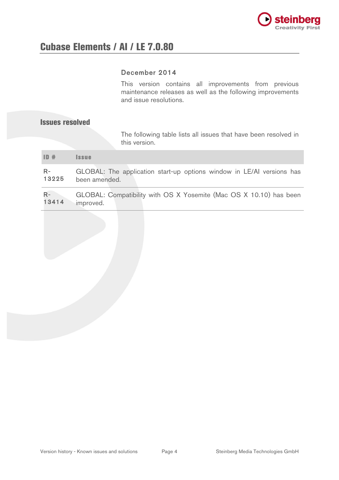

## December 2014

This version contains all improvements from previous maintenance releases as well as the following improvements and issue resolutions.

### Issues resolved

The following table lists all issues that have been resolved in this version.

| 10#           | <i><b>Issue</b></i>                                                                    |
|---------------|----------------------------------------------------------------------------------------|
| $R-$<br>13225 | GLOBAL: The application start-up options window in LE/AI versions has<br>been amended. |
| $R-$          | GLOBAL: Compatibility with OS X Yosemite (Mac OS X 10.10) has been                     |

13414 improved.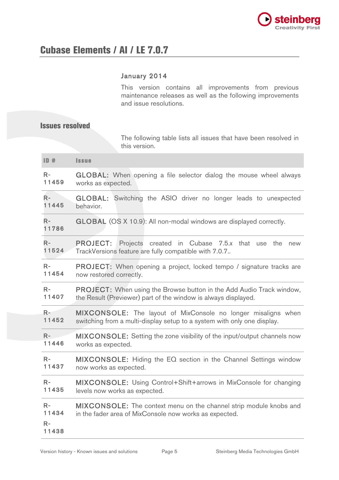

## January 2014

This version contains all improvements from previous maintenance releases as well as the following improvements and issue resolutions.

## Issues resolved

The following table lists all issues that have been resolved in this version.

| ID#                            | <b>Issue</b>                                                                                                                 |
|--------------------------------|------------------------------------------------------------------------------------------------------------------------------|
| $R -$                          | <b>GLOBAL:</b> When opening a file selector dialog the mouse wheel always                                                    |
| 11459                          | works as expected.                                                                                                           |
| $R-$                           | <b>GLOBAL:</b> Switching the ASIO driver no longer leads to unexpected                                                       |
| 11445                          | behavior.                                                                                                                    |
| $R-$<br>11786                  | <b>GLOBAL</b> (OS X 10.9): All non-modal windows are displayed correctly.                                                    |
| $R-$                           | <b>PROJECT:</b> Projects created in Cubase 7.5.x that use the new                                                            |
| 11524                          | TrackVersions feature are fully compatible with 7.0.7                                                                        |
| $R-$                           | <b>PROJECT:</b> When opening a project, locked tempo / signature tracks are                                                  |
| 11454                          | now restored correctly.                                                                                                      |
| $R-$                           | <b>PROJECT:</b> When using the Browse button in the Add Audio Track window,                                                  |
| 11407                          | the Result (Previewer) part of the window is always displayed.                                                               |
| $R-$                           | MIXCONSOLE: The layout of MixConsole no longer misaligns when                                                                |
| 11452                          | switching from a multi-display setup to a system with only one display.                                                      |
| $R -$                          | <b>MIXCONSOLE:</b> Setting the zone visibility of the input/output channels now                                              |
| 11446                          | works as expected.                                                                                                           |
| $R-$                           | MIXCONSOLE: Hiding the EQ section in the Channel Settings window                                                             |
| 11437                          | now works as expected.                                                                                                       |
| $R-$                           | MIXCONSOLE: Using Control+Shift+arrows in MixConsole for changing                                                            |
| 11435                          | levels now works as expected.                                                                                                |
| $R-$<br>11434<br>$R-$<br>11438 | MIXCONSOLE: The context menu on the channel strip module knobs and<br>in the fader area of MixConsole now works as expected. |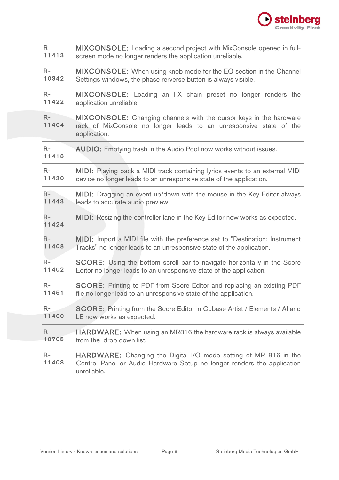

| $R-$          | MIXCONSOLE: Loading a second project with MixConsole opened in full-                                                                                            |
|---------------|-----------------------------------------------------------------------------------------------------------------------------------------------------------------|
| 11413         | screen mode no longer renders the application unreliable.                                                                                                       |
| $R-$          | MIXCONSOLE: When using knob mode for the EQ section in the Channel                                                                                              |
| 10342         | Settings windows, the phase rerverse button is always visible.                                                                                                  |
| $R-$          | MIXCONSOLE: Loading an FX chain preset no longer renders the                                                                                                    |
| 11422         | application unreliable.                                                                                                                                         |
| $R-$<br>11404 | <b>MIXCONSOLE:</b> Changing channels with the cursor keys in the hardware<br>rack of MixConsole no longer leads to an unresponsive state of the<br>application. |
| $R-$<br>11418 | <b>AUDIO:</b> Emptying trash in the Audio Pool now works without issues.                                                                                        |
| $R-$          | MIDI: Playing back a MIDI track containing lyrics events to an external MIDI                                                                                    |
| 11430         | device no longer leads to an unresponsive state of the application.                                                                                             |
| $R-$          | MIDI: Dragging an event up/down with the mouse in the Key Editor always                                                                                         |
| 11443         | leads to accurate audio preview.                                                                                                                                |
|               |                                                                                                                                                                 |
| $R-$<br>11424 | MIDI: Resizing the controller lane in the Key Editor now works as expected.                                                                                     |
| $R-$          | MIDI: Import a MIDI file with the preference set to "Destination: Instrument                                                                                    |
| 11408         | Tracks" no longer leads to an unresponsive state of the application.                                                                                            |
| $R-$          | <b>SCORE:</b> Using the bottom scroll bar to navigate horizontally in the Score                                                                                 |
| 11402         | Editor no longer leads to an unresponsive state of the application.                                                                                             |
| $R-$          | SCORE: Printing to PDF from Score Editor and replacing an existing PDF                                                                                          |
| 11451         | file no longer lead to an unresponsive state of the application.                                                                                                |
| $R-$          | <b>SCORE:</b> Printing from the Score Editor in Cubase Artist / Elements / AI and                                                                               |
| 11400         | LE now works as expected.                                                                                                                                       |
| $R-$          | <b>HARDWARE:</b> When using an MR816 the hardware rack is always available                                                                                      |
| 10705         | from the drop down list.                                                                                                                                        |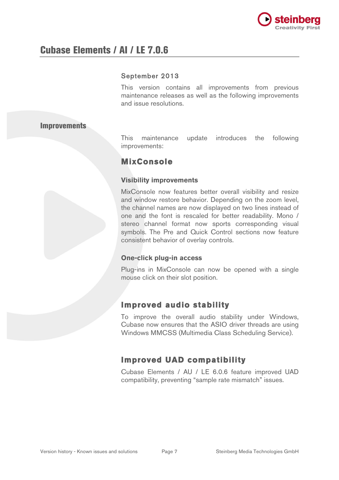

## September 2013

This version contains all improvements from previous maintenance releases as well as the following improvements and issue resolutions.

### **Improvements**

This maintenance update introduces the following improvements:

# **MixConsole**

#### **Visibility improvements**

MixConsole now features better overall visibility and resize and window restore behavior. Depending on the zoom level, the channel names are now displayed on two lines instead of one and the font is rescaled for better readability. Mono / stereo channel format now sports corresponding visual symbols. The Pre and Quick Control sections now feature consistent behavior of overlay controls.

### **One-click plug-in access**

Plug-ins in MixConsole can now be opened with a single mouse click on their slot position.

# **Improved audio stability**

To improve the overall audio stability under Windows, Cubase now ensures that the ASIO driver threads are using Windows MMCSS (Multimedia Class Scheduling Service).

# **Improved UAD compatibility**

Cubase Elements / AU / LE 6.0.6 feature improved UAD compatibility, preventing "sample rate mismatch" issues.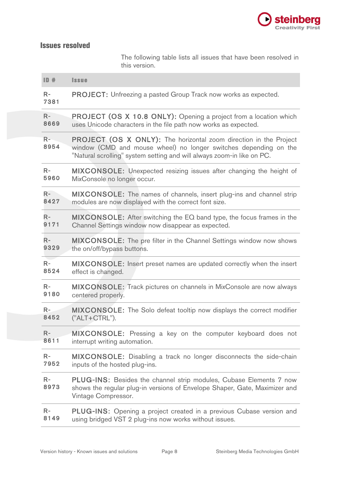

# Issues resolved

The following table lists all issues that have been resolved in this version.

| ID#          | <b>Issue</b>                                                                                                                                                                                                           |
|--------------|------------------------------------------------------------------------------------------------------------------------------------------------------------------------------------------------------------------------|
| $R-$<br>7381 | <b>PROJECT:</b> Unfreezing a pasted Group Track now works as expected.                                                                                                                                                 |
| $R-$         | <b>PROJECT (OS X 10.8 ONLY):</b> Opening a project from a location which                                                                                                                                               |
| 8669         | uses Unicode characters in the file path now works as expected.                                                                                                                                                        |
| $R-$<br>8954 | <b>PROJECT (OS X ONLY):</b> The horizontal zoom direction in the Project<br>window (CMD and mouse wheel) no longer switches depending on the<br>"Natural scrolling" system setting and will always zoom-in like on PC. |
| $R-$         | <b>MIXCONSOLE:</b> Unexpected resizing issues after changing the height of                                                                                                                                             |
| 5960         | MixConsole no longer occur.                                                                                                                                                                                            |
| $R-$         | <b>MIXCONSOLE:</b> The names of channels, insert plug-ins and channel strip                                                                                                                                            |
| 8427         | modules are now displayed with the correct font size.                                                                                                                                                                  |
| $R-$         | <b>MIXCONSOLE:</b> After switching the EQ band type, the focus frames in the                                                                                                                                           |
| 9171         | Channel Settings window now disappear as expected.                                                                                                                                                                     |
| $R-$         | <b>MIXCONSOLE:</b> The pre filter in the Channel Settings window now shows                                                                                                                                             |
| 9329         | the on/off/bypass buttons.                                                                                                                                                                                             |
| $R-$         | MIXCONSOLE: Insert preset names are updated correctly when the insert                                                                                                                                                  |
| 8524         | effect is changed.                                                                                                                                                                                                     |
| $R-$         | MIXCONSOLE: Track pictures on channels in MixConsole are now always                                                                                                                                                    |
| 9180         | centered properly.                                                                                                                                                                                                     |
| $R-$         | MIXCONSOLE: The Solo defeat tooltip now displays the correct modifier                                                                                                                                                  |
| 8452         | ("ALT+CTRL").                                                                                                                                                                                                          |
| $R-$         | MIXCONSOLE: Pressing a key on the computer keyboard does not                                                                                                                                                           |
| 8611         | interrupt writing automation.                                                                                                                                                                                          |
| $R-$         | MIXCONSOLE: Disabling a track no longer disconnects the side-chain                                                                                                                                                     |
| 7952         | inputs of the hosted plug-ins.                                                                                                                                                                                         |
| $R-$<br>8973 | <b>PLUG-INS:</b> Besides the channel strip modules, Cubase Elements 7 now<br>shows the regular plug-in versions of Envelope Shaper, Gate, Maximizer and<br>Vintage Compressor.                                         |
| $R-$         | <b>PLUG-INS:</b> Opening a project created in a previous Cubase version and                                                                                                                                            |
| 8149         | using bridged VST 2 plug-ins now works without issues.                                                                                                                                                                 |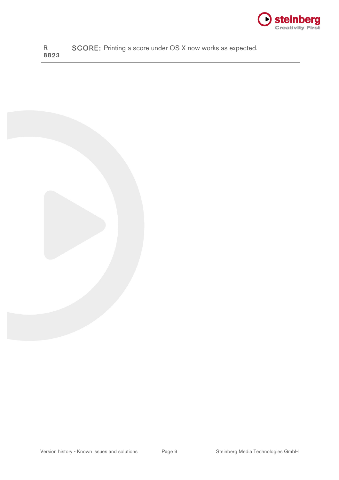

R-8823 SCORE: Printing a score under OS X now works as expected.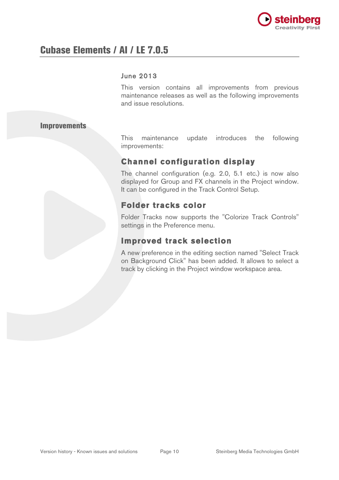

#### June 2013

This version contains all improvements from previous maintenance releases as well as the following improvements and issue resolutions.

#### Improvements

This maintenance update introduces the following improvements:

# **Channel configuration display**

The channel configuration (e.g. 2.0, 5.1 etc.) is now also displayed for Group and FX channels in the Project window. It can be configured in the Track Control Setup.

# **Folder tracks color**

Folder Tracks now supports the "Colorize Track Controls" settings in the Preference menu.

# **Improved track selection**

A new preference in the editing section named "Select Track on Background Click" has been added. It allows to select a track by clicking in the Project window workspace area.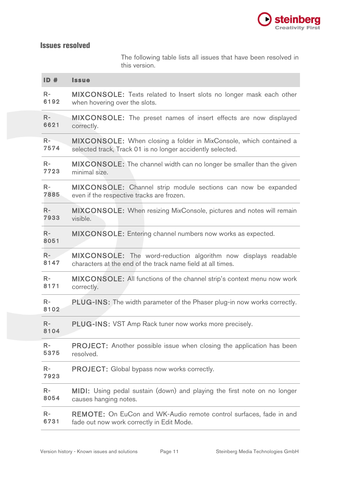

# Issues resolved

The following table lists all issues that have been resolved in this version.

| ID#          | <b>Issue</b>                                                                    |
|--------------|---------------------------------------------------------------------------------|
| $R-$         | MIXCONSOLE: Texts related to Insert slots no longer mask each other             |
| 6192         | when hovering over the slots.                                                   |
| $R-$         | <b>MIXCONSOLE:</b> The preset names of insert effects are now displayed         |
| 6621         | correctly.                                                                      |
| $R-$         | MIXCONSOLE: When closing a folder in MixConsole, which contained a              |
| 7574         | selected track, Track 01 is no longer accidently selected.                      |
| $R-$         | <b>MIXCONSOLE:</b> The channel width can no longer be smaller than the given    |
| 7723         | minimal size.                                                                   |
| $R-$         | MIXCONSOLE: Channel strip module sections can now be expanded                   |
| 7885         | even if the respective tracks are frozen.                                       |
| $R-$         | <b>MIXCONSOLE:</b> When resizing MixConsole, pictures and notes will remain     |
| 7933         | visible.                                                                        |
| $R-$<br>8051 | MIXCONSOLE: Entering channel numbers now works as expected.                     |
| $R-$         | <b>MIXCONSOLE:</b> The word-reduction algorithm now displays readable           |
| 8147         | characters at the end of the track name field at all times.                     |
| $R-$         | MIXCONSOLE: All functions of the channel strip's context menu now work          |
| 8171         | correctly.                                                                      |
| $R-$<br>8102 | <b>PLUG-INS:</b> The width parameter of the Phaser plug-in now works correctly. |
| $R-$<br>8104 | <b>PLUG-INS: VST Amp Rack tuner now works more precisely.</b>                   |
| $R-$         | <b>PROJECT:</b> Another possible issue when closing the application has been    |
| 5375         | resolved.                                                                       |
| $R-$<br>7923 | <b>PROJECT:</b> Global bypass now works correctly.                              |
| $R-$         | MIDI: Using pedal sustain (down) and playing the first note on no longer        |
| 8054         | causes hanging notes.                                                           |
| $R-$         | REMOTE: On EuCon and WK-Audio remote control surfaces, fade in and              |
| 6731         | fade out now work correctly in Edit Mode.                                       |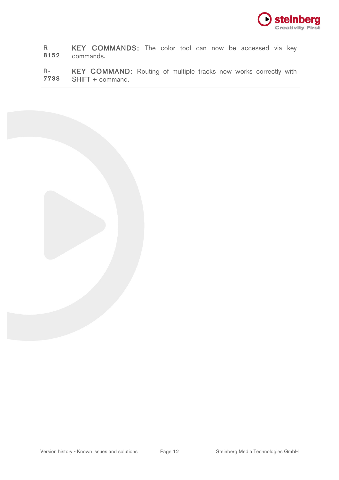

R-8152 KEY COMMANDS: The color tool can now be accessed via key commands.

R-7738 KEY COMMAND: Routing of multiple tracks now works correctly with SHIFT + command.

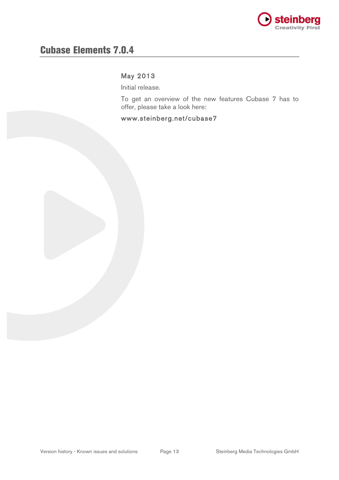

# Cubase Elements 7.0.4

# May 2013

Initial release.

To get an overview of the new features Cubase 7 has to offer, please take a look here:

www.steinberg.net/cubase7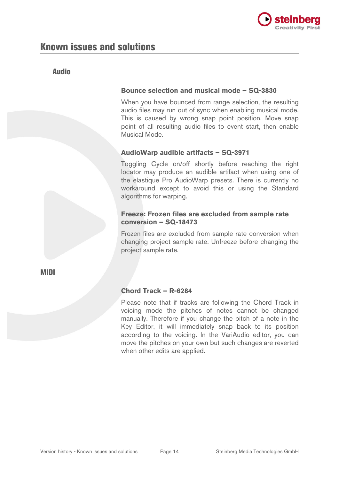

# Audio

### **Bounce selection and musical mode – SQ-3830**

When you have bounced from range selection, the resulting audio files may run out of sync when enabling musical mode. This is caused by wrong snap point position. Move snap point of all resulting audio files to event start, then enable Musical Mode.

## **AudioWarp audible artifacts – SQ-3971**

Toggling Cycle on/off shortly before reaching the right locator may produce an audible artifact when using one of the élastique Pro AudioWarp presets. There is currently no workaround except to avoid this or using the Standard algorithms for warping.

### **Freeze: Frozen files are excluded from sample rate conversion – SQ-18473**

Frozen files are excluded from sample rate conversion when changing project sample rate. Unfreeze before changing the project sample rate.

MIDI

# **Chord Track – R-6284**

Please note that if tracks are following the Chord Track in voicing mode the pitches of notes cannot be changed manually. Therefore if you change the pitch of a note in the Key Editor, it will immediately snap back to its position according to the voicing. In the VariAudio editor, you can move the pitches on your own but such changes are reverted when other edits are applied.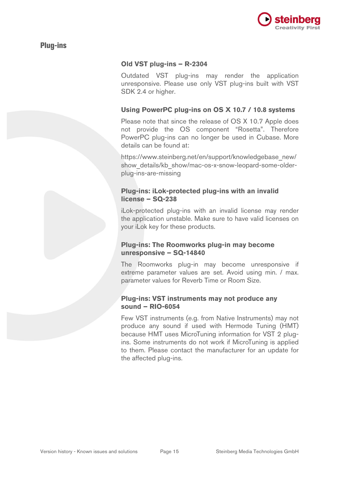

# Plug-ins

#### **Old VST plug-ins – R-2304**

Outdated VST plug-ins may render the application unresponsive. Please use only VST plug-ins built with VST SDK 2.4 or higher.

#### **Using PowerPC plug-ins on OS X 10.7 / 10.8 systems**

Please note that since the release of OS X 10.7 Apple does not provide the OS component "Rosetta". Therefore PowerPC plug-ins can no longer be used in Cubase. More details can be found at:

https://www.steinberg.net/en/support/knowledgebase\_new/ show details/kb show/mac-os-x-snow-leopard-some-olderplug-ins-are-missing

#### **Plug-ins: iLok-protected plug-ins with an invalid license – SQ-238**

iLok-protected plug-ins with an invalid license may render the application unstable. Make sure to have valid licenses on your iLok key for these products.

#### **Plug-ins: The Roomworks plug-in may become unresponsive – SQ-14840**

The Roomworks plug-in may become unresponsive if extreme parameter values are set. Avoid using min. / max. parameter values for Reverb Time or Room Size.

#### **Plug-ins: VST instruments may not produce any sound – RIO-6054**

Few VST instruments (e.g. from Native Instruments) may not produce any sound if used with Hermode Tuning (HMT) because HMT uses MicroTuning information for VST 2 plugins. Some instruments do not work if MicroTuning is applied to them. Please contact the manufacturer for an update for the affected plug-ins.